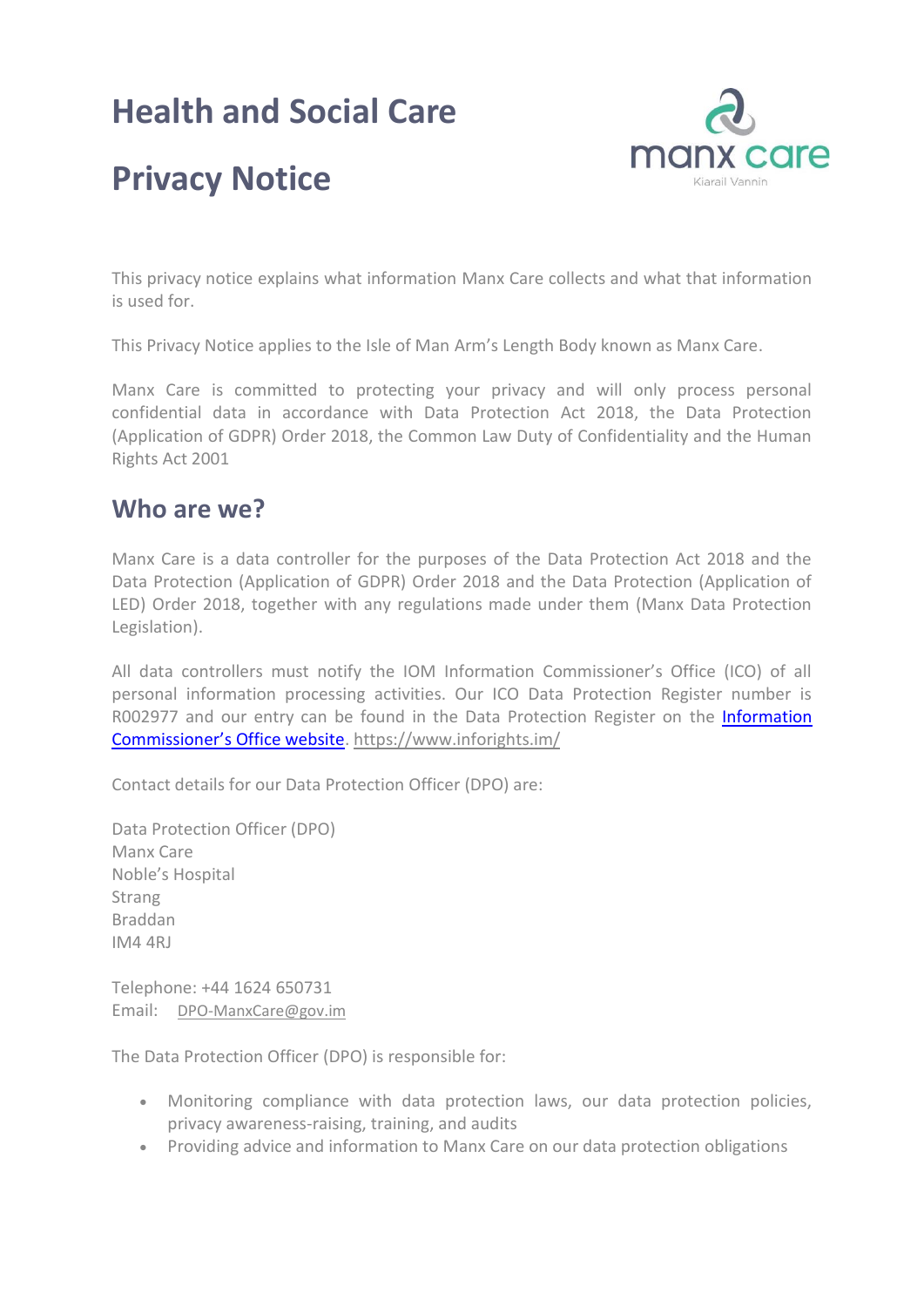## **Health and Social Care**



# **Privacy Notice**

This privacy notice explains what information Manx Care collects and what that information is used for.

This Privacy Notice applies to the Isle of Man Arm's Length Body known as Manx Care.

Manx Care is committed to protecting your privacy and will only process personal confidential data in accordance with Data Protection Act 2018, the Data Protection (Application of GDPR) Order 2018, the Common Law Duty of Confidentiality and the Human Rights Act 2001

#### **Who are we?**

Manx Care is a data controller for the purposes of the Data Protection Act 2018 and the Data Protection (Application of GDPR) Order 2018 and the Data Protection (Application of LED) Order 2018, together with any regulations made under them (Manx Data Protection Legislation).

All data controllers must notify the IOM Information Commissioner's Office (ICO) of all personal information processing activities. Our ICO Data Protection Register number is R002977 and our entry can be found in the Data Protection Register on the [Information](file:///C:/Users/clairelea/Dropbox/Charis/Manx%20Care/Information%20Governance/Information%20Commissioner’s%20Office%20website)  [Commissioner's Office website](file:///C:/Users/clairelea/Dropbox/Charis/Manx%20Care/Information%20Governance/Information%20Commissioner’s%20Office%20website).<https://www.inforights.im/>

Contact details for our Data Protection Officer (DPO) are:

Data Protection Officer (DPO) Manx Care Noble's Hospital Strang Braddan IM4 4RJ

Telephone: +44 1624 650731 Email: DPO-ManxCare@gov.im

The Data Protection Officer (DPO) is responsible for:

- Monitoring compliance with data protection laws, our data protection policies, privacy awareness-raising, training, and audits
- Providing advice and information to Manx Care on our data protection obligations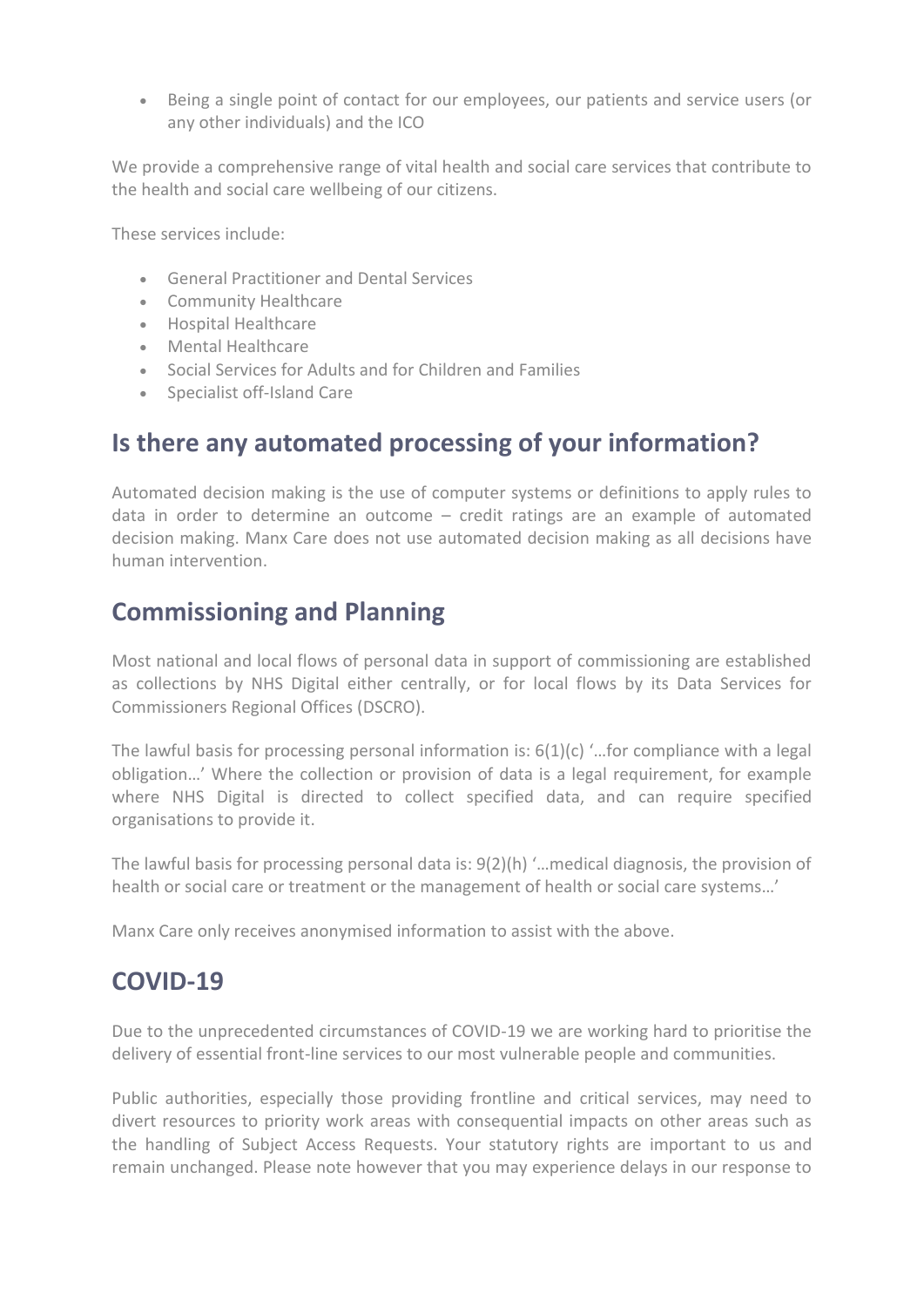Being a single point of contact for our employees, our patients and service users (or any other individuals) and the ICO

We provide a comprehensive range of vital health and social care services that contribute to the health and social care wellbeing of our citizens.

These services include:

- General Practitioner and Dental Services
- Community Healthcare
- Hospital Healthcare
- Mental Healthcare
- Social Services for Adults and for Children and Families
- Specialist off-Island Care

#### **Is there any automated processing of your information?**

Automated decision making is the use of computer systems or definitions to apply rules to data in order to determine an outcome – credit ratings are an example of automated decision making. Manx Care does not use automated decision making as all decisions have human intervention.

### **Commissioning and Planning**

Most national and local flows of personal data in support of commissioning are established as collections by NHS Digital either centrally, or for local flows by its Data Services for Commissioners Regional Offices (DSCRO).

The lawful basis for processing personal information is:  $6(1)(c)$  '...for compliance with a legal obligation…' Where the collection or provision of data is a legal requirement, for example where NHS Digital is directed to collect specified data, and can require specified organisations to provide it.

The lawful basis for processing personal data is: 9(2)(h) '…medical diagnosis, the provision of health or social care or treatment or the management of health or social care systems…'

Manx Care only receives anonymised information to assist with the above.

### **COVID-19**

Due to the unprecedented circumstances of COVID-19 we are working hard to prioritise the delivery of essential front-line services to our most vulnerable people and communities.

Public authorities, especially those providing frontline and critical services, may need to divert resources to priority work areas with consequential impacts on other areas such as the handling of Subject Access Requests. Your statutory rights are important to us and remain unchanged. Please note however that you may experience delays in our response to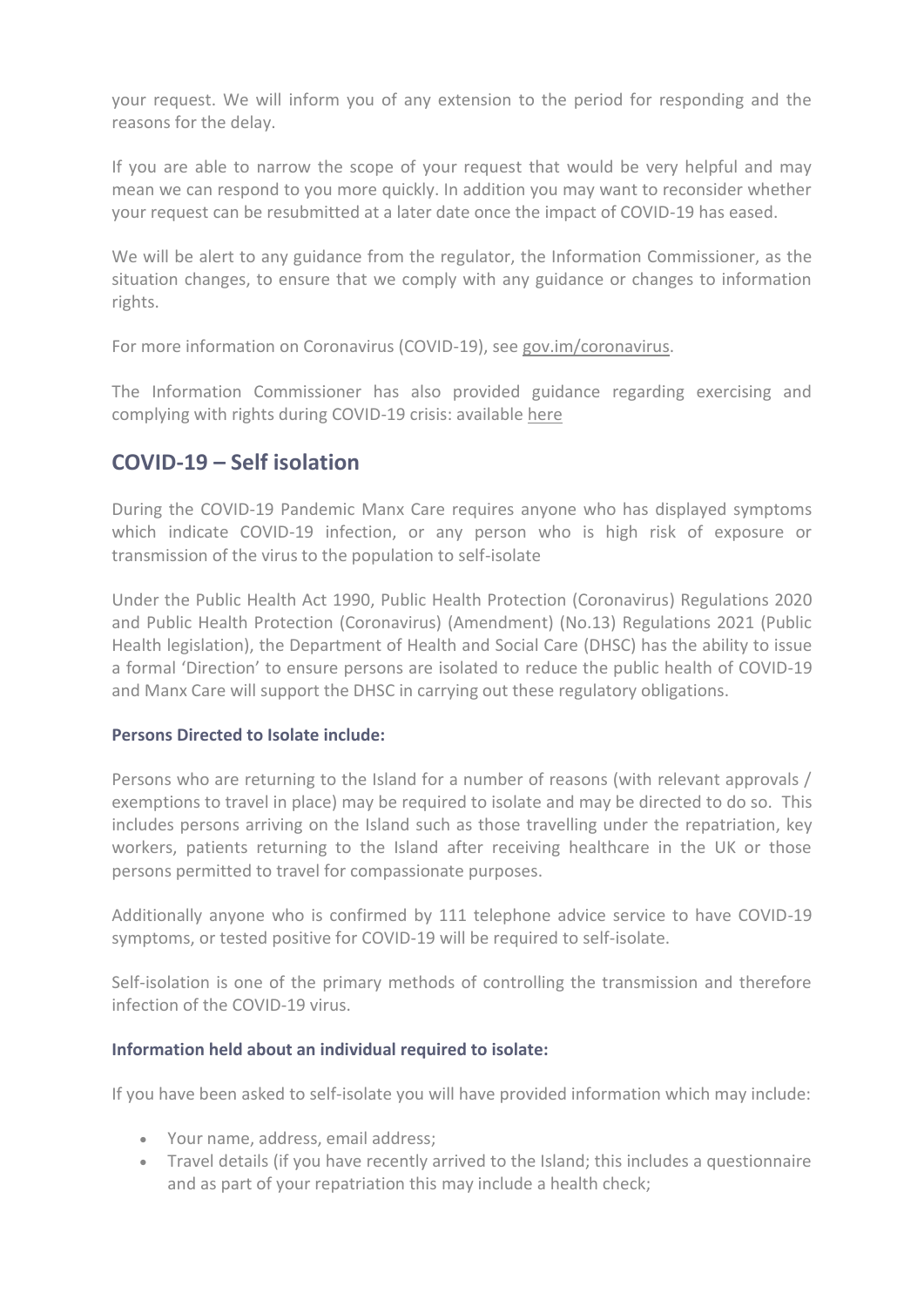your request. We will inform you of any extension to the period for responding and the reasons for the delay.

If you are able to narrow the scope of your request that would be very helpful and may mean we can respond to you more quickly. In addition you may want to reconsider whether your request can be resubmitted at a later date once the impact of COVID-19 has eased.

We will be alert to any guidance from the regulator, the Information Commissioner, as the situation changes, to ensure that we comply with any guidance or changes to information rights.

For more information on Coronavirus (COVID-19), see [gov.im/coronavirus.](https://covid19.gov.im/)

The Information Commissioner has also provided guidance regarding exercising and complying with rights during COVID-19 crisis: available [here](https://www.inforights.im/organisations/latest-news-updates/2020/apr/exercising-and-complying-with-rights-during-covid-19-crisis/)

#### **COVID-19 – Self isolation**

During the COVID-19 Pandemic Manx Care requires anyone who has displayed symptoms which indicate COVID-19 infection, or any person who is high risk of exposure or transmission of the virus to the population to self-isolate

Under the Public Health Act 1990, Public Health Protection (Coronavirus) Regulations 2020 and Public Health Protection (Coronavirus) (Amendment) (No.13) Regulations 2021 (Public Health legislation), the Department of Health and Social Care (DHSC) has the ability to issue a formal 'Direction' to ensure persons are isolated to reduce the public health of COVID-19 and Manx Care will support the DHSC in carrying out these regulatory obligations.

#### **Persons Directed to Isolate include:**

Persons who are returning to the Island for a number of reasons (with relevant approvals / exemptions to travel in place) may be required to isolate and may be directed to do so. This includes persons arriving on the Island such as those travelling under the repatriation, key workers, patients returning to the Island after receiving healthcare in the UK or those persons permitted to travel for compassionate purposes.

Additionally anyone who is confirmed by 111 telephone advice service to have COVID-19 symptoms, or tested positive for COVID-19 will be required to self-isolate.

Self-isolation is one of the primary methods of controlling the transmission and therefore infection of the COVID-19 virus.

#### **Information held about an individual required to isolate:**

If you have been asked to self-isolate you will have provided information which may include:

- Your name, address, email address;
- Travel details (if you have recently arrived to the Island; this includes a questionnaire and as part of your repatriation this may include a health check;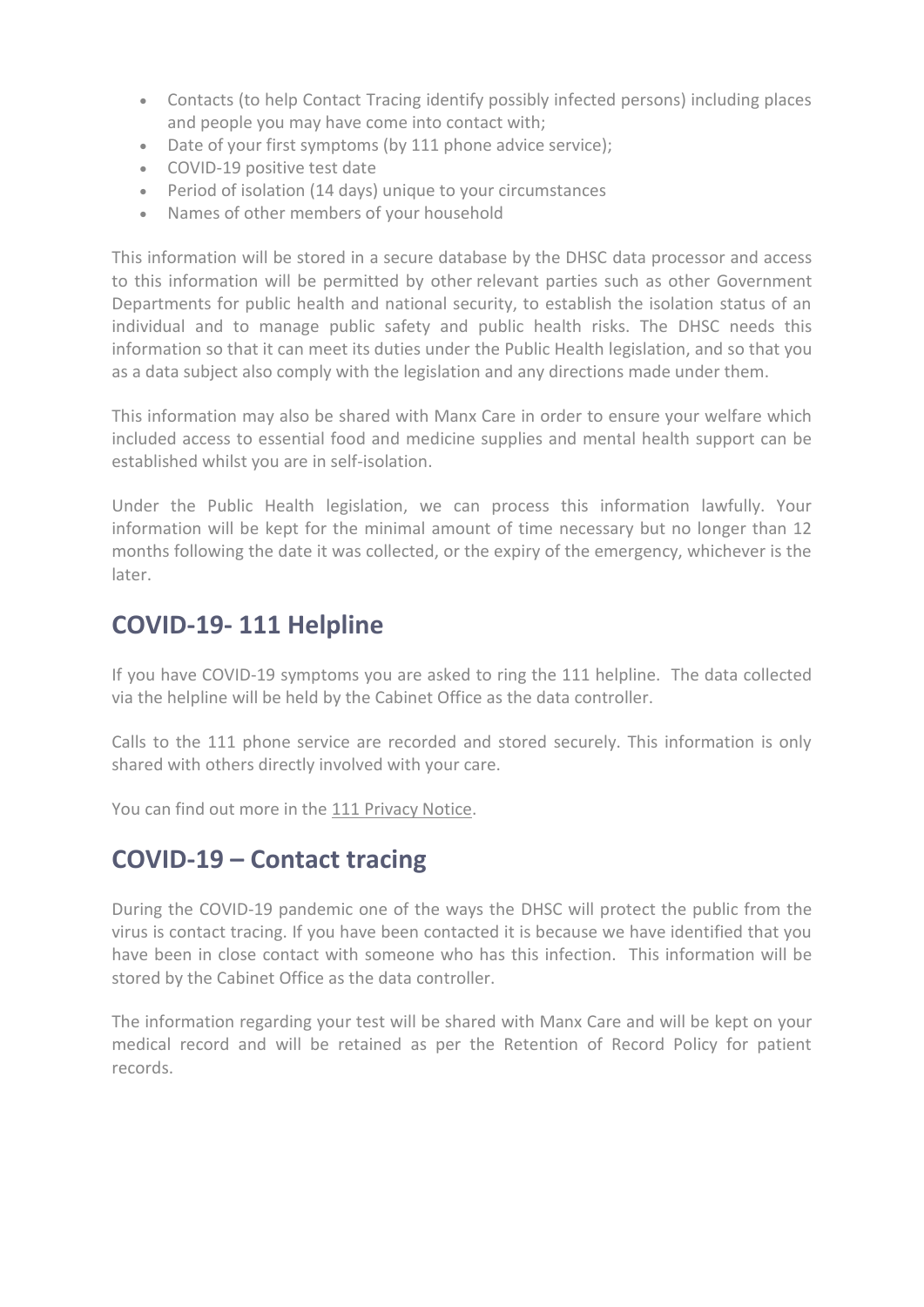- Contacts (to help Contact Tracing identify possibly infected persons) including places and people you may have come into contact with;
- Date of your first symptoms (by 111 phone advice service);
- COVID-19 positive test date
- Period of isolation (14 days) unique to your circumstances
- Names of other members of your household

This information will be stored in a secure database by the DHSC data processor and access to this information will be permitted by other relevant parties such as other Government Departments for public health and national security, to establish the isolation status of an individual and to manage public safety and public health risks. The DHSC needs this information so that it can meet its duties under the Public Health legislation, and so that you as a data subject also comply with the legislation and any directions made under them.

This information may also be shared with Manx Care in order to ensure your welfare which included access to essential food and medicine supplies and mental health support can be established whilst you are in self-isolation.

Under the Public Health legislation, we can process this information lawfully. Your information will be kept for the minimal amount of time necessary but no longer than 12 months following the date it was collected, or the expiry of the emergency, whichever is the later.

### **COVID-19- 111 Helpline**

If you have COVID-19 symptoms you are asked to ring the 111 helpline. The data collected via the helpline will be held by the Cabinet Office as the data controller.

Calls to the 111 phone service are recorded and stored securely. This information is only shared with others directly involved with your care.

You can find out more in the [111 Privacy Notice.](https://www.gov.im/about-the-government/departments/health-and-social-care/111-privacy-notice/)

### **COVID-19 – Contact tracing**

During the COVID-19 pandemic one of the ways the DHSC will protect the public from the virus is contact tracing. If you have been contacted it is because we have identified that you have been in close contact with someone who has this infection. This information will be stored by the Cabinet Office as the data controller.

The information regarding your test will be shared with Manx Care and will be kept on your medical record and will be retained as per the Retention of Record Policy for patient records.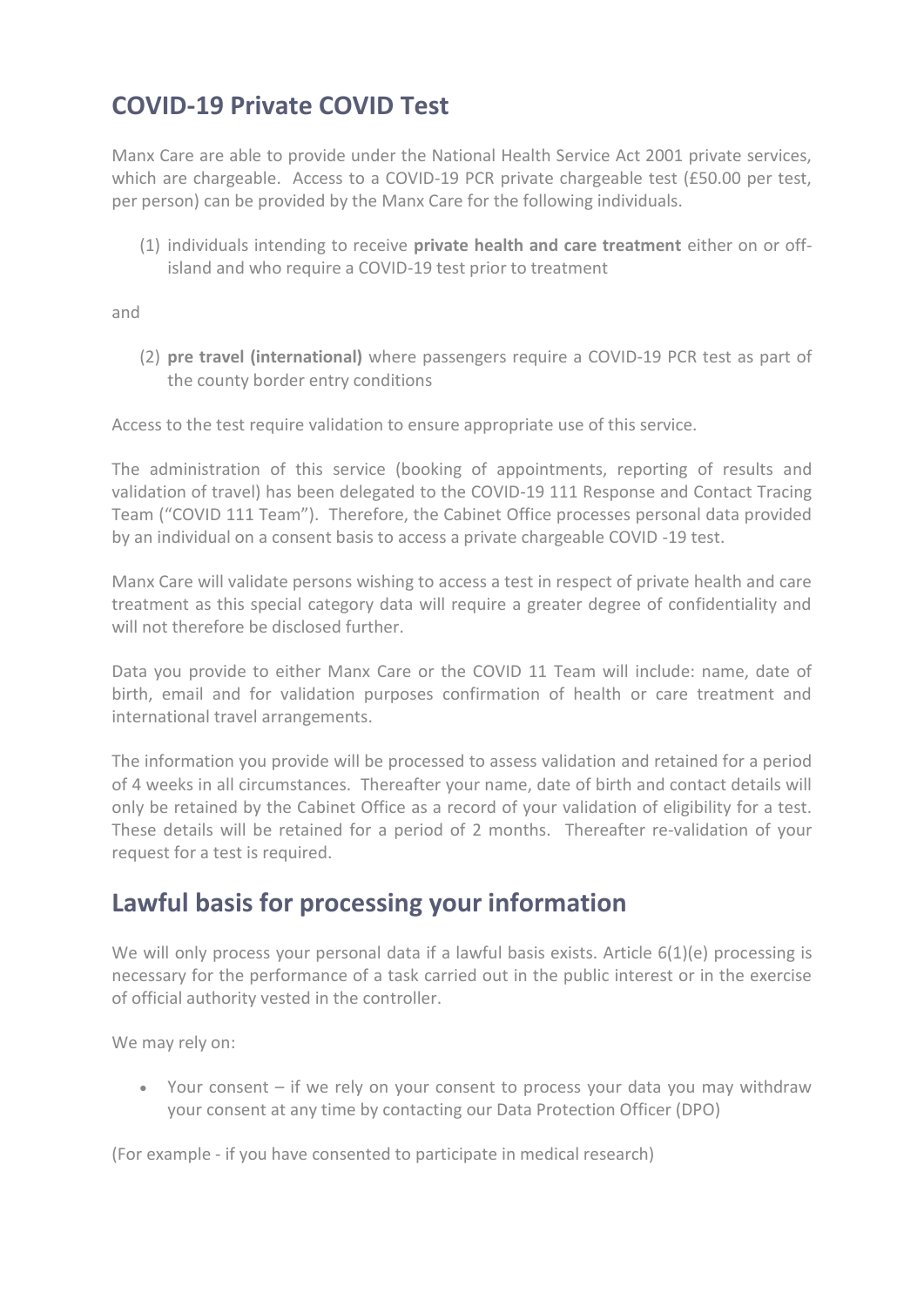### **COVID-19 Private COVID Test**

Manx Care are able to provide under the National Health Service Act 2001 private services, which are chargeable. Access to a COVID-19 PCR private chargeable test (£50.00 per test, per person) can be provided by the Manx Care for the following individuals.

(1) individuals intending to receive **private health and care treatment** either on or offisland and who require a COVID-19 test prior to treatment

and

(2) **pre travel (international)** where passengers require a COVID-19 PCR test as part of the county border entry conditions

Access to the test require validation to ensure appropriate use of this service.

The administration of this service (booking of appointments, reporting of results and validation of travel) has been delegated to the COVID-19 111 Response and Contact Tracing Team ("COVID 111 Team"). Therefore, the Cabinet Office processes personal data provided by an individual on a consent basis to access a private chargeable COVID -19 test.

Manx Care will validate persons wishing to access a test in respect of private health and care treatment as this special category data will require a greater degree of confidentiality and will not therefore be disclosed further.

Data you provide to either Manx Care or the COVID 11 Team will include: name, date of birth, email and for validation purposes confirmation of health or care treatment and international travel arrangements.

The information you provide will be processed to assess validation and retained for a period of 4 weeks in all circumstances. Thereafter your name, date of birth and contact details will only be retained by the Cabinet Office as a record of your validation of eligibility for a test. These details will be retained for a period of 2 months. Thereafter re-validation of your request for a test is required.

### **Lawful basis for processing your information**

We will only process your personal data if a lawful basis exists. Article 6(1)(e) processing is necessary for the performance of a task carried out in the public interest or in the exercise of official authority vested in the controller.

We may rely on:

 Your consent – if we rely on your consent to process your data you may withdraw your consent at any time by contacting our Data Protection Officer (DPO)

(For example - if you have consented to participate in medical research)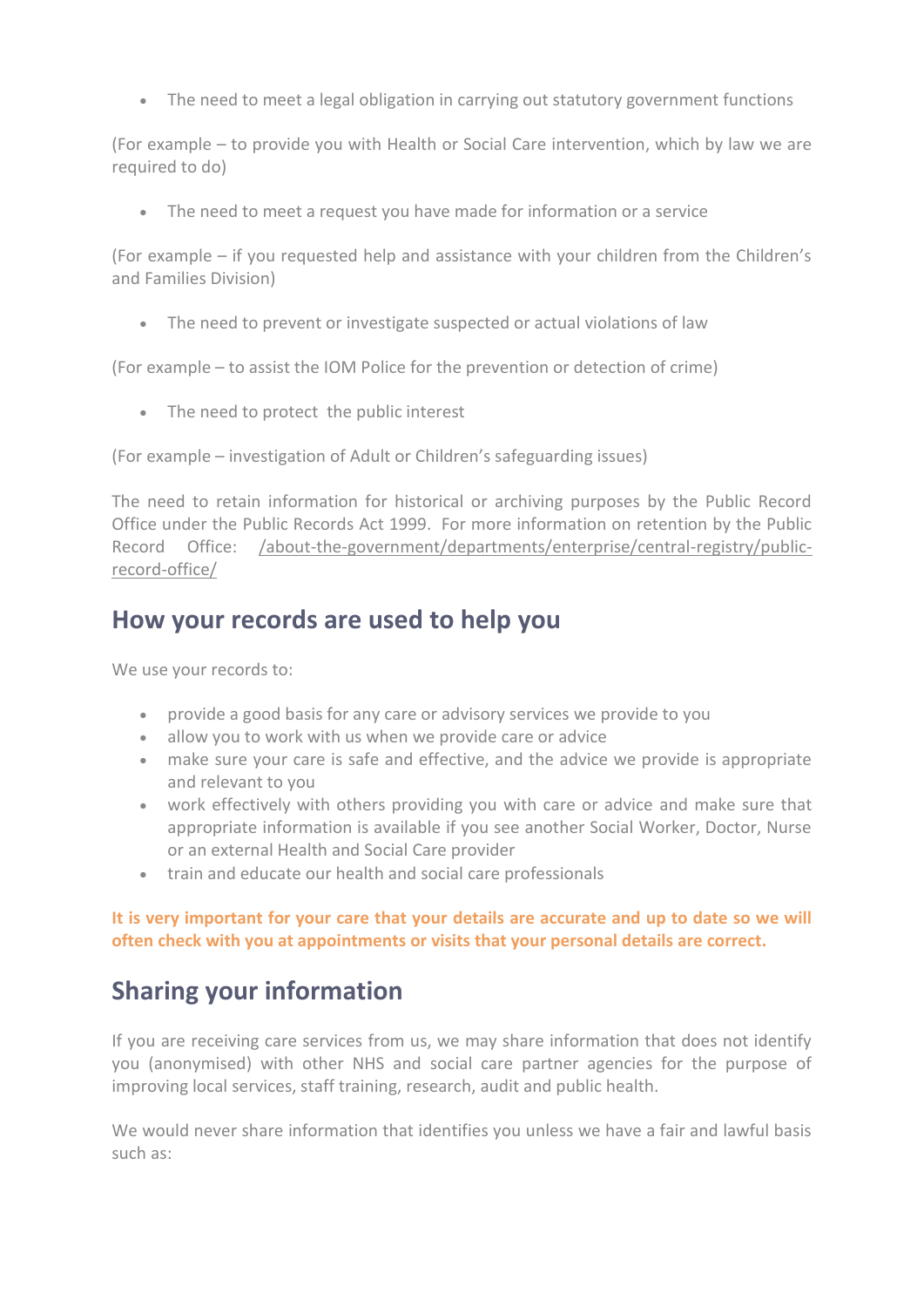The need to meet a legal obligation in carrying out statutory government functions

(For example – to provide you with Health or Social Care intervention, which by law we are required to do)

The need to meet a request you have made for information or a service

(For example – if you requested help and assistance with your children from the Children's and Families Division)

• The need to prevent or investigate suspected or actual violations of law

(For example – to assist the IOM Police for the prevention or detection of crime)

• The need to protect the public interest

(For example – investigation of Adult or Children's safeguarding issues)

The need to retain information for historical or archiving purposes by the Public Record Office under the Public Records Act 1999. For more information on retention by the Public Record Office: [/about-the-government/departments/enterprise/central-registry/public](https://www.gov.im/about-the-government/departments/enterprise/central-registry/public-record-office/)[record-office/](https://www.gov.im/about-the-government/departments/enterprise/central-registry/public-record-office/)

#### **How your records are used to help you**

We use your records to:

- provide a good basis for any care or advisory services we provide to you
- allow you to work with us when we provide care or advice
- make sure your care is safe and effective, and the advice we provide is appropriate and relevant to you
- work effectively with others providing you with care or advice and make sure that appropriate information is available if you see another Social Worker, Doctor, Nurse or an external Health and Social Care provider
- train and educate our health and social care professionals

#### **It is very important for your care that your details are accurate and up to date so we will often check with you at appointments or visits that your personal details are correct.**

### **Sharing your information**

If you are receiving care services from us, we may share information that does not identify you (anonymised) with other NHS and social care partner agencies for the purpose of improving local services, staff training, research, audit and public health.

We would never share information that identifies you unless we have a fair and lawful basis such as: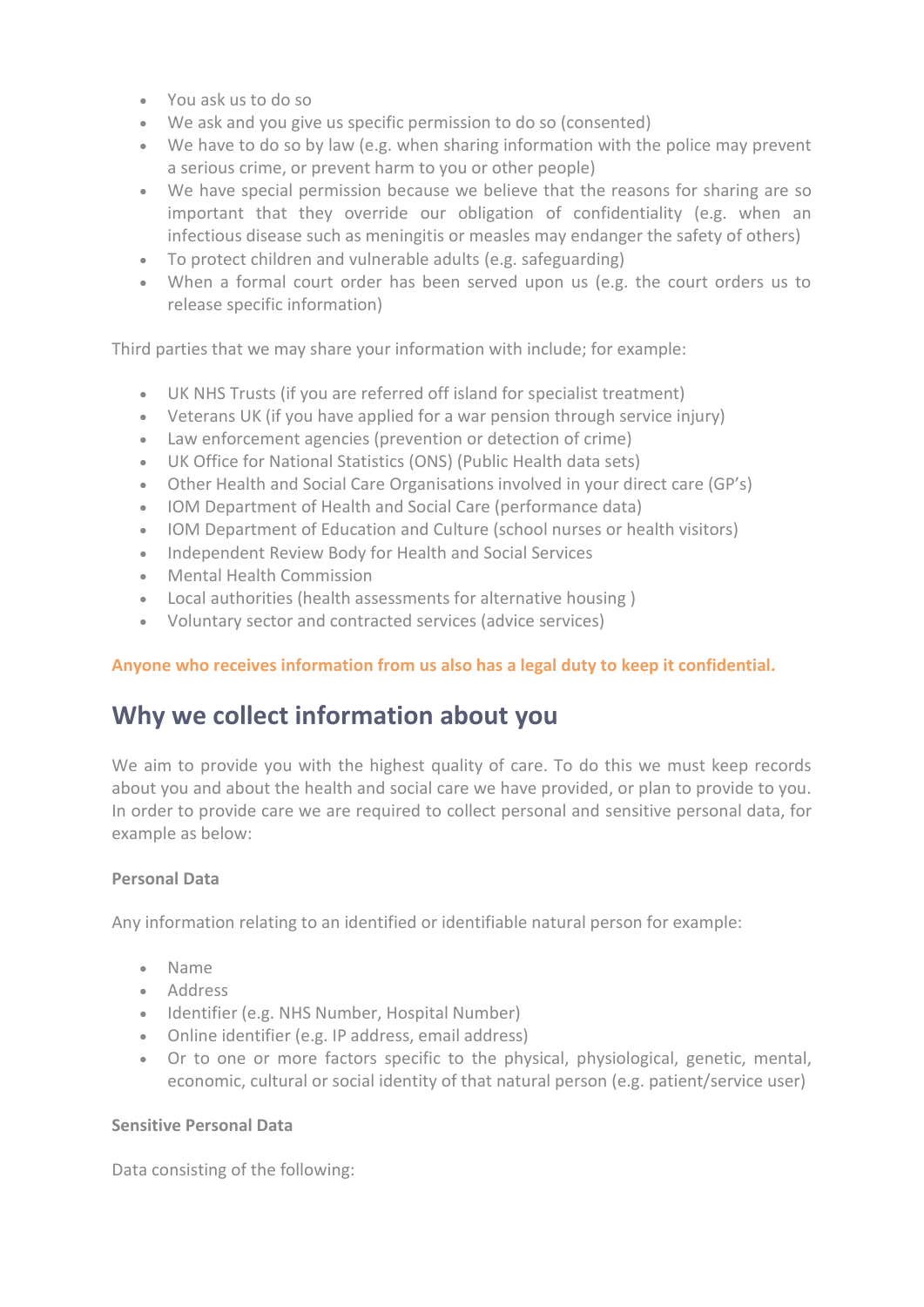- You ask us to do so
- We ask and you give us specific permission to do so (consented)
- We have to do so by law (e.g. when sharing information with the police may prevent a serious crime, or prevent harm to you or other people)
- We have special permission because we believe that the reasons for sharing are so important that they override our obligation of confidentiality (e.g. when an infectious disease such as meningitis or measles may endanger the safety of others)
- To protect children and vulnerable adults (e.g. safeguarding)
- When a formal court order has been served upon us (e.g. the court orders us to release specific information)

Third parties that we may share your information with include; for example:

- UK NHS Trusts (if you are referred off island for specialist treatment)
- Veterans UK (if you have applied for a war pension through service injury)
- Law enforcement agencies (prevention or detection of crime)
- UK Office for National Statistics (ONS) (Public Health data sets)
- Other Health and Social Care Organisations involved in your direct care (GP's)
- IOM Department of Health and Social Care (performance data)
- IOM Department of Education and Culture (school nurses or health visitors)
- Independent Review Body for Health and Social Services
- Mental Health Commission
- Local authorities (health assessments for alternative housing )
- Voluntary sector and contracted services (advice services)

#### **Anyone who receives information from us also has a legal duty to keep it confidential.**

### **Why we collect information about you**

We aim to provide you with the highest quality of care. To do this we must keep records about you and about the health and social care we have provided, or plan to provide to you. In order to provide care we are required to collect personal and sensitive personal data, for example as below:

#### **Personal Data**

Any information relating to an identified or identifiable natural person for example:

- Name
- Address
- Identifier (e.g. NHS Number, Hospital Number)
- Online identifier (e.g. IP address, email address)
- Or to one or more factors specific to the physical, physiological, genetic, mental, economic, cultural or social identity of that natural person (e.g. patient/service user)

#### **Sensitive Personal Data**

Data consisting of the following: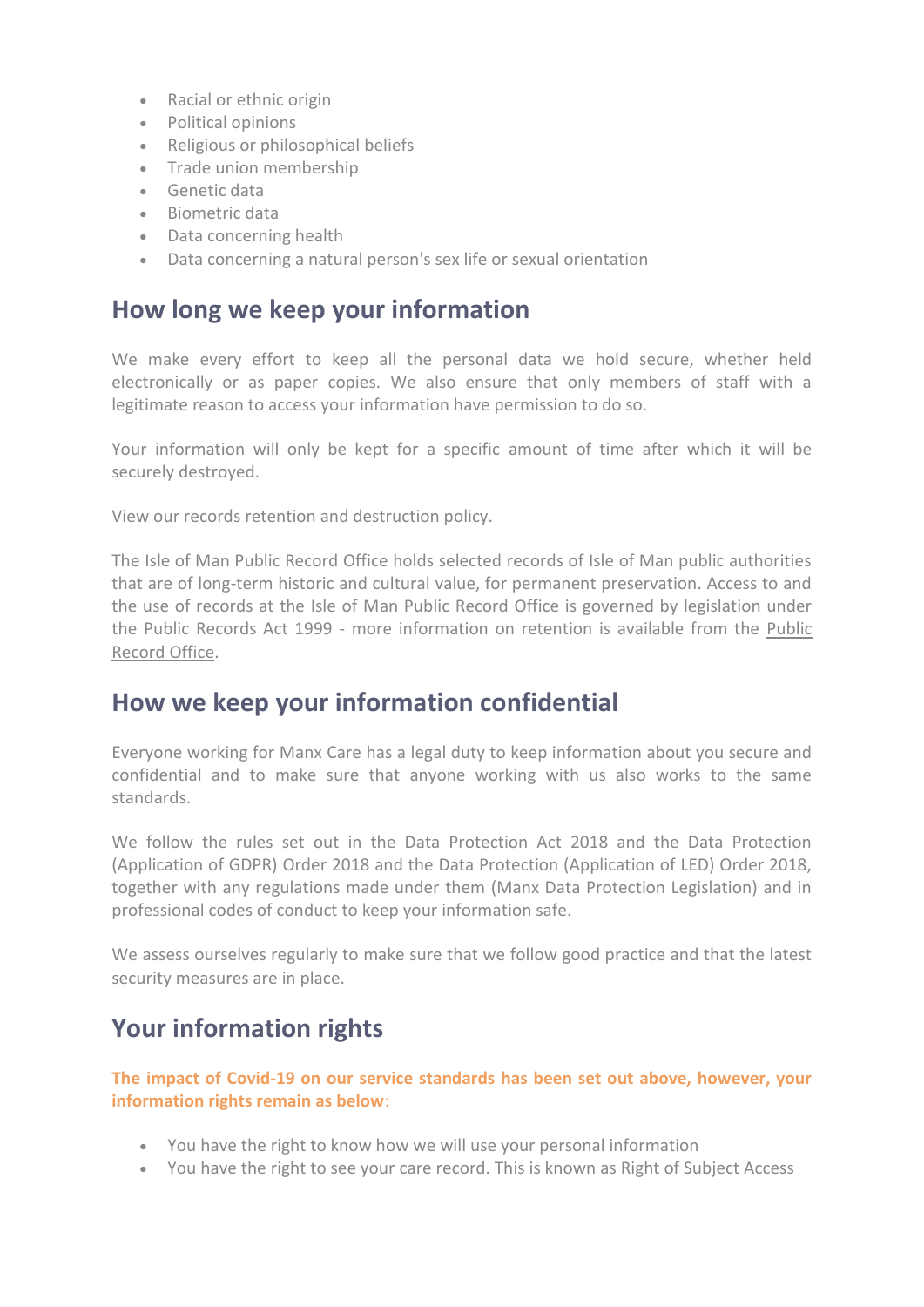- Racial or ethnic origin
- Political opinions
- Religious or philosophical beliefs
- Trade union membership
- Genetic data
- Biometric data
- Data concerning health
- Data concerning a natural person's sex life or sexual orientation

#### **How long we keep your information**

We make every effort to keep all the personal data we hold secure, whether held electronically or as paper copies. We also ensure that only members of staff with a legitimate reason to access your information have permission to do so.

Your information will only be kept for a specific amount of time after which it will be securely destroyed.

[View our records retention and destruction policy.](https://www.gov.im/about-the-government/departments/health-and-social-care/information-governance-team/how-do-i-see-my-records/)

The Isle of Man Public Record Office holds selected records of Isle of Man public authorities that are of long-term historic and cultural value, for permanent preservation. Access to and the use of records at the Isle of Man Public Record Office is governed by legislation under the Public Records Act 1999 - more information on retention is available from the [Public](https://www.gov.im/pro)  [Record Office.](https://www.gov.im/pro)

#### **How we keep your information confidential**

Everyone working for Manx Care has a legal duty to keep information about you secure and confidential and to make sure that anyone working with us also works to the same standards.

We follow the rules set out in the Data Protection Act 2018 and the Data Protection (Application of GDPR) Order 2018 and the Data Protection (Application of LED) Order 2018, together with any regulations made under them (Manx Data Protection Legislation) and in professional codes of conduct to keep your information safe.

We assess ourselves regularly to make sure that we follow good practice and that the latest security measures are in place.

### **Your information rights**

**The impact of Covid-19 on our service standards has been set out above, however, your information rights remain as below**:

- You have the right to know how we will use your personal information
- You have the right to see your care record. This is known as Right of Subject Access